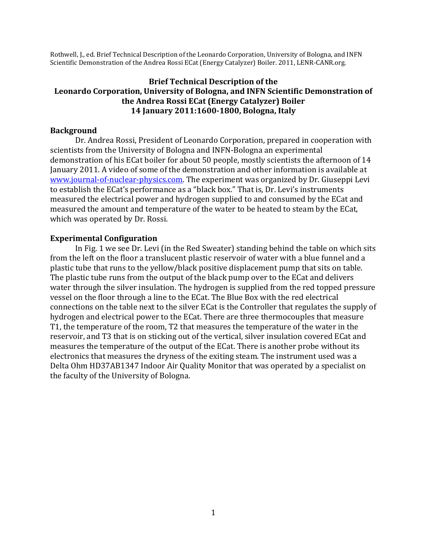Rothwell, J., ed. Brief Technical Description of the Leonardo Corporation, University of Bologna, and INFN Scientific Demonstration of the Andrea Rossi ECat (Energy Catalyzer) Boiler. 2011, LENR-CANR.org.

### **Brief Technical Description of the Leonardo Corporation, University of Bologna, and INFN Scientific Demonstration of the Andrea Rossi ECat (Energy Catalyzer) Boiler 14 January 2011:1600-1800, Bologna, Italy**

#### **Background**

Dr. Andrea Rossi, President of Leonardo Corporation, prepared in cooperation with scientists from the University of Bologna and INFN-Bologna an experimental demonstration of his ECat boiler for about 50 people, mostly scientists the afternoon of 14 January 2011. A video of some of the demonstration and other information is available at www.journal-of-nuclear-physics.com. The experiment was organized by Dr. Giuseppi Levi to establish the ECat's performance as a "black box." That is, Dr. Levi's instruments measured the electrical power and hydrogen supplied to and consumed by the ECat and measured the amount and temperature of the water to be heated to steam by the ECat, which was operated by Dr. Rossi.

#### **Experimental Configuration**

In Fig. 1 we see Dr. Levi (in the Red Sweater) standing behind the table on which sits from the left on the floor a translucent plastic reservoir of water with a blue funnel and a plastic tube that runs to the yellow/black positive displacement pump that sits on table. The plastic tube runs from the output of the black pump over to the ECat and delivers water through the silver insulation. The hydrogen is supplied from the red topped pressure vessel on the floor through a line to the ECat. The Blue Box with the red electrical connections on the table next to the silver ECat is the Controller that regulates the supply of hydrogen and electrical power to the ECat. There are three thermocouples that measure T1, the temperature of the room, T2 that measures the temperature of the water in the reservoir, and T3 that is on sticking out of the vertical, silver insulation covered ECat and measures the temperature of the output of the ECat. There is another probe without its electronics that measures the dryness of the exiting steam. The instrument used was a Delta Ohm HD37AB1347 Indoor Air Quality Monitor that was operated by a specialist on the faculty of the University of Bologna.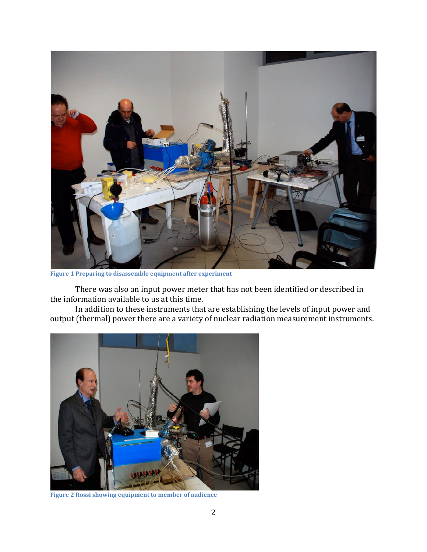

**Figure 1 Preparing to disassemble equipment after experiment**

There was also an input power meter that has not been identified or described in the information available to us at this time.

In addition to these instruments that are establishing the levels of input power and output (thermal) power there are a variety of nuclear radiation measurement instruments.



**Figure 2 Rossi showing equipment to member of audience**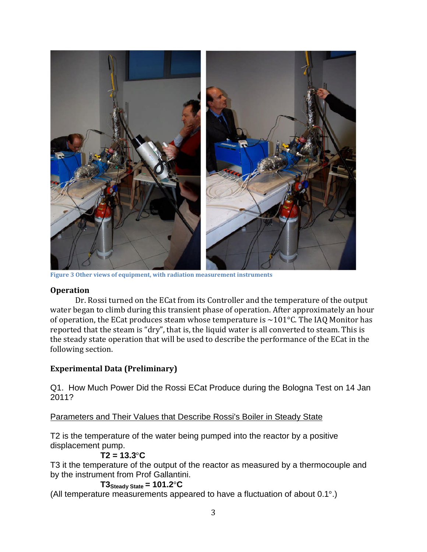

**Figure 3 Other views of equipment, with radiation measurement instruments**

#### **Operation**

Dr. Rossi turned on the ECat from its Controller and the temperature of the output water began to climb during this transient phase of operation. After approximately an hour of operation, the ECat produces steam whose temperature is  $\sim$ 101 $^{\circ}$ C. The IAQ Monitor has reported that the steam is "dry", that is, the liquid water is all converted to steam. This is the steady state operation that will be used to describe the performance of the ECat in the following section.

# **Experimental Data (Preliminary)**

Q1. How Much Power Did the Rossi ECat Produce during the Bologna Test on 14 Jan 2011?

Parameters and Their Values that Describe Rossi's Boiler in Steady State

T2 is the temperature of the water being pumped into the reactor by a positive displacement pump.

# **T2 = 13.3**°**C**

T3 it the temperature of the output of the reactor as measured by a thermocouple and by the instrument from Prof Gallantini.

#### **T3Steady State = 101.2**°**C**

(All temperature measurements appeared to have a fluctuation of about 0.1°.)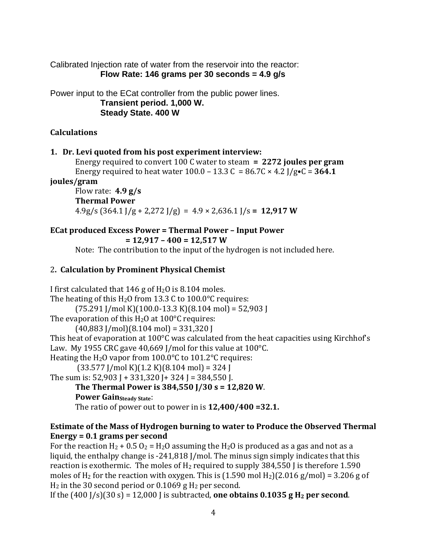Calibrated Injection rate of water from the reservoir into the reactor: **Flow Rate: 146 grams per 30 seconds = 4.9 g/s**

Power input to the ECat controller from the public power lines. **Transient period. 1,000 W. Steady State. 400 W**

# **Calculations**

# **1. Dr. Levi quoted from his post experiment interview:**

Energy required to convert 100 C water to steam **= 2272 joules per gram** Energy required to heat water  $100.0 - 13.3 C = 86.7C \times 4.2$  J/g $\cdot C = 364.1$ 

**joules/gram**

Flow rate: **4.9 g/s Thermal Power** 4.9g/s (364.1 J/g + 2,272 J/g) = 4.9 × 2,636.1 J/s **= 12,917 W**

# **ECat produced Excess Power = Thermal Power – Input Power**

```
= 12,917 – 400 = 12,517 W
```
Note: The contribution to the input of the hydrogen is not included here.

# 2**. Calculation by Prominent Physical Chemist**

I first calculated that 146 g of  $H<sub>2</sub>O$  is 8.104 moles. The heating of this  $H_2O$  from 13.3 C to 100.0°C requires:  $(75.291$  J/mol K $)(100.0-13.3$  K $)(8.104$  mol $) = 52,903$  J The evaporation of this  $H_2O$  at 100 $^{\circ}$ C requires:  $(40,883$  J/mol $)(8.104$  mol $) = 331,320$  J This heat of evaporation at 100°C was calculated from the heat capacities using Kirchhof's Law. My 1955 CRC gave 40,669 J/mol for this value at 100°C. Heating the H2O vapor from 100.0°C to 101.2°C requires:  $(33.577$  J/mol K $)(1.2$  K $)(8.104$  mol $) = 324$  J The sum is:  $52,903$  J +  $331,320$  J +  $324$  J =  $384,550$  J. **The Thermal Power is 384,550 J/30 s = 12,820 W**. **Power Gain**<sub>Steady</sub> State: The ratio of power out to power in is **12,400/400 =32.1.**

# **Estimate of the Mass of Hydrogen burning to water to Produce the Observed Thermal Energy = 0.1 grams per second**

For the reaction  $H_2$  + 0.5 O<sub>2</sub> =  $H_2O$  assuming the  $H_2O$  is produced as a gas and not as a liquid, the enthalpy change is -241,818 J/mol. The minus sign simply indicates that this reaction is exothermic. The moles of  $H_2$  required to supply 384,550 J is therefore 1.590 moles of H<sub>2</sub> for the reaction with oxygen. This is  $(1.590 \text{ mol H}_2)(2.016 \text{ g/mol}) = 3.206 \text{ g of}$  $H_2$  in the 30 second period or 0.1069 g  $H_2$  per second.

If the  $(400 \text{ J/s})(30 \text{ s}) = 12,000 \text{ J}$  is subtracted, **one obtains 0.1035 g H<sub>2</sub> per second**.